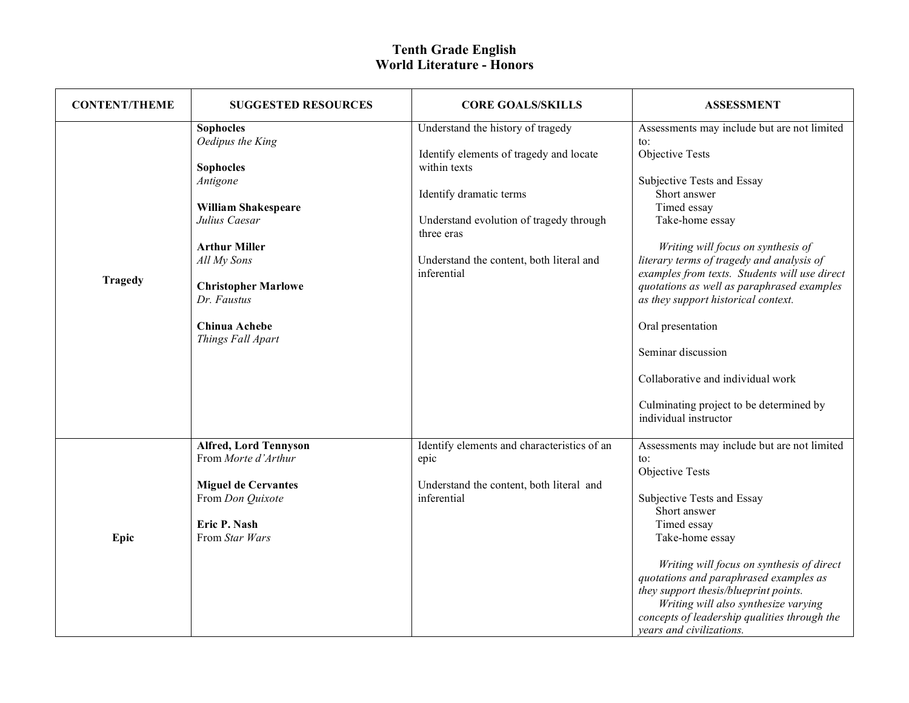| <b>CONTENT/THEME</b> | <b>SUGGESTED RESOURCES</b>                                                                                                                                                                                                             | <b>CORE GOALS/SKILLS</b>                                                                                                                                                                                                                    | <b>ASSESSMENT</b>                                                                                                                                                                                                                                                                                                                                                                                                                                                                                                                               |
|----------------------|----------------------------------------------------------------------------------------------------------------------------------------------------------------------------------------------------------------------------------------|---------------------------------------------------------------------------------------------------------------------------------------------------------------------------------------------------------------------------------------------|-------------------------------------------------------------------------------------------------------------------------------------------------------------------------------------------------------------------------------------------------------------------------------------------------------------------------------------------------------------------------------------------------------------------------------------------------------------------------------------------------------------------------------------------------|
| <b>Tragedy</b>       | <b>Sophocles</b><br>Oedipus the King<br><b>Sophocles</b><br>Antigone<br>William Shakespeare<br>Julius Caesar<br><b>Arthur Miller</b><br>All My Sons<br><b>Christopher Marlowe</b><br>Dr. Faustus<br>Chinua Achebe<br>Things Fall Apart | Understand the history of tragedy<br>Identify elements of tragedy and locate<br>within texts<br>Identify dramatic terms<br>Understand evolution of tragedy through<br>three eras<br>Understand the content, both literal and<br>inferential | Assessments may include but are not limited<br>$\mathfrak{t}$ .<br>Objective Tests<br>Subjective Tests and Essay<br>Short answer<br>Timed essay<br>Take-home essay<br>Writing will focus on synthesis of<br>literary terms of tragedy and analysis of<br>examples from texts. Students will use direct<br>quotations as well as paraphrased examples<br>as they support historical context.<br>Oral presentation<br>Seminar discussion<br>Collaborative and individual work<br>Culminating project to be determined by<br>individual instructor |
| Epic                 | <b>Alfred, Lord Tennyson</b><br>From Morte d'Arthur<br><b>Miguel de Cervantes</b><br>From Don Quixote<br>Eric P. Nash<br>From Star Wars                                                                                                | Identify elements and characteristics of an<br>epic<br>Understand the content, both literal and<br>inferential                                                                                                                              | Assessments may include but are not limited<br>$\mathsf{to}$ :<br>Objective Tests<br>Subjective Tests and Essay<br>Short answer<br>Timed essay<br>Take-home essay<br>Writing will focus on synthesis of direct<br>quotations and paraphrased examples as<br>they support thesis/blueprint points.<br>Writing will also synthesize varying<br>concepts of leadership qualities through the<br>years and civilizations.                                                                                                                           |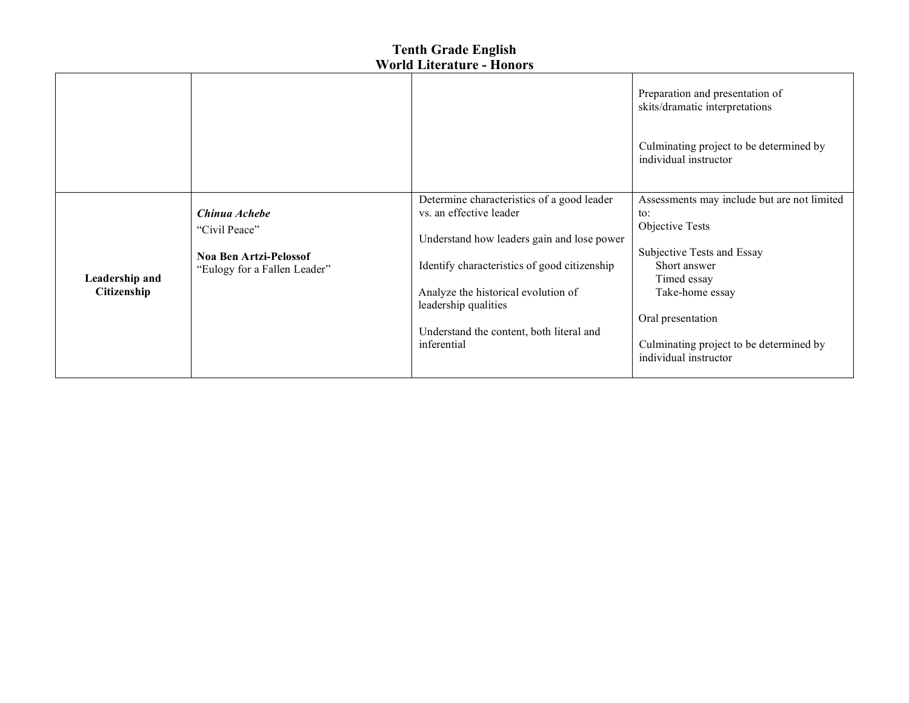|                               |                                                                                                 |                                                                                                                                                                                                                                                                                               | Preparation and presentation of<br>skits/dramatic interpretations<br>Culminating project to be determined by<br>individual instructor                                                                                                          |
|-------------------------------|-------------------------------------------------------------------------------------------------|-----------------------------------------------------------------------------------------------------------------------------------------------------------------------------------------------------------------------------------------------------------------------------------------------|------------------------------------------------------------------------------------------------------------------------------------------------------------------------------------------------------------------------------------------------|
| Leadership and<br>Citizenship | Chinua Achebe<br>"Civil Peace"<br><b>Noa Ben Artzi-Pelossof</b><br>"Eulogy for a Fallen Leader" | Determine characteristics of a good leader<br>vs. an effective leader<br>Understand how leaders gain and lose power<br>Identify characteristics of good citizenship<br>Analyze the historical evolution of<br>leadership qualities<br>Understand the content, both literal and<br>inferential | Assessments may include but are not limited<br>to:<br>Objective Tests<br>Subjective Tests and Essay<br>Short answer<br>Timed essay<br>Take-home essay<br>Oral presentation<br>Culminating project to be determined by<br>individual instructor |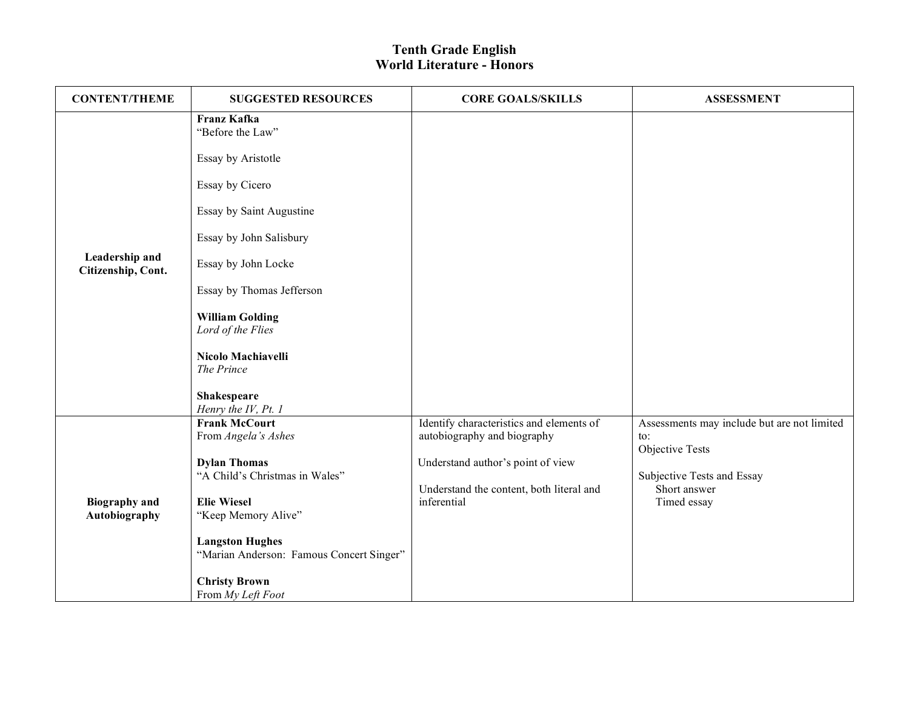| <b>CONTENT/THEME</b>                 | <b>SUGGESTED RESOURCES</b>                  | <b>CORE GOALS/SKILLS</b>                 | <b>ASSESSMENT</b>                           |
|--------------------------------------|---------------------------------------------|------------------------------------------|---------------------------------------------|
|                                      | <b>Franz Kafka</b><br>"Before the Law"      |                                          |                                             |
|                                      | Essay by Aristotle                          |                                          |                                             |
|                                      | Essay by Cicero                             |                                          |                                             |
|                                      | Essay by Saint Augustine                    |                                          |                                             |
|                                      | Essay by John Salisbury                     |                                          |                                             |
| Leadership and<br>Citizenship, Cont. | Essay by John Locke                         |                                          |                                             |
|                                      | Essay by Thomas Jefferson                   |                                          |                                             |
|                                      | <b>William Golding</b><br>Lord of the Flies |                                          |                                             |
|                                      | Nicolo Machiavelli<br>The Prince            |                                          |                                             |
|                                      | Shakespeare<br>Henry the IV, Pt. 1          |                                          |                                             |
|                                      | <b>Frank McCourt</b>                        | Identify characteristics and elements of | Assessments may include but are not limited |
|                                      | From Angela's Ashes                         | autobiography and biography              | to:<br>Objective Tests                      |
|                                      | <b>Dylan Thomas</b>                         | Understand author's point of view        |                                             |
|                                      | "A Child's Christmas in Wales"              | Understand the content, both literal and | Subjective Tests and Essay<br>Short answer  |
| <b>Biography</b> and                 | <b>Elie Wiesel</b>                          | inferential                              | Timed essay                                 |
| Autobiography                        | "Keep Memory Alive"                         |                                          |                                             |
|                                      | <b>Langston Hughes</b>                      |                                          |                                             |
|                                      | "Marian Anderson: Famous Concert Singer"    |                                          |                                             |
|                                      | <b>Christy Brown</b><br>From My Left Foot   |                                          |                                             |
|                                      |                                             |                                          |                                             |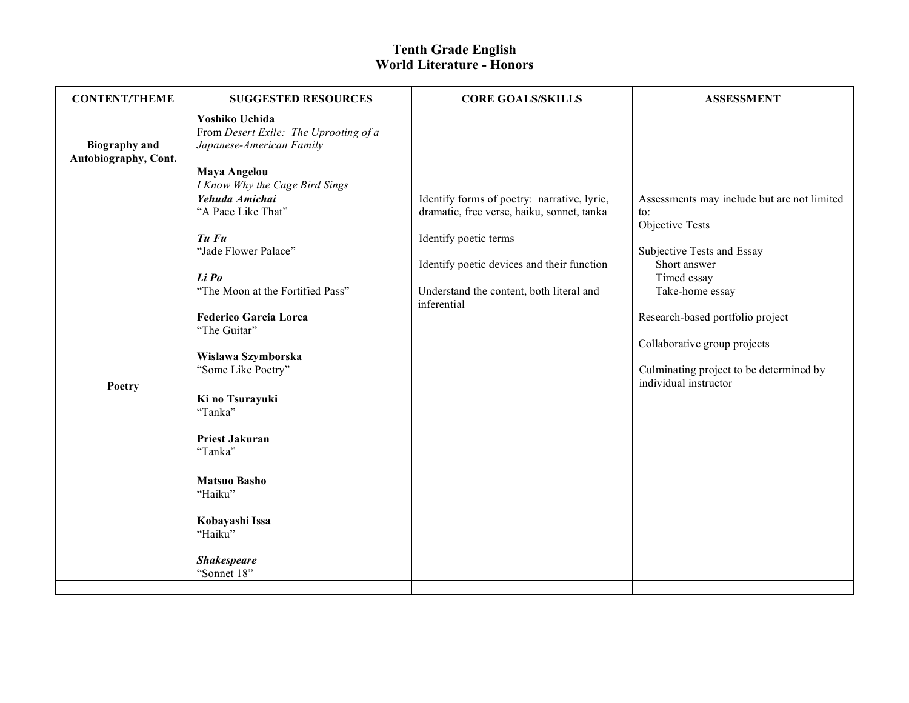| <b>CONTENT/THEME</b>                         | <b>SUGGESTED RESOURCES</b>                                                                                                                                                                                                                                                                                                                                                           | <b>CORE GOALS/SKILLS</b>                                                                                                                                                                                                    | <b>ASSESSMENT</b>                                                                                                                                                                                                                                                                                         |
|----------------------------------------------|--------------------------------------------------------------------------------------------------------------------------------------------------------------------------------------------------------------------------------------------------------------------------------------------------------------------------------------------------------------------------------------|-----------------------------------------------------------------------------------------------------------------------------------------------------------------------------------------------------------------------------|-----------------------------------------------------------------------------------------------------------------------------------------------------------------------------------------------------------------------------------------------------------------------------------------------------------|
| <b>Biography</b> and<br>Autobiography, Cont. | Yoshiko Uchida<br>From Desert Exile: The Uprooting of a<br>Japanese-American Family<br><b>Maya Angelou</b><br>I Know Why the Cage Bird Sings                                                                                                                                                                                                                                         |                                                                                                                                                                                                                             |                                                                                                                                                                                                                                                                                                           |
| Poetry                                       | Yehuda Amichai<br>"A Pace Like That"<br>Tu Fu<br>"Jade Flower Palace"<br>Li Po<br>"The Moon at the Fortified Pass"<br><b>Federico Garcia Lorca</b><br>"The Guitar"<br>Wislawa Szymborska<br>"Some Like Poetry"<br>Ki no Tsurayuki<br>"Tanka"<br><b>Priest Jakuran</b><br>"Tanka"<br><b>Matsuo Basho</b><br>"Haiku"<br>Kobayashi Issa<br>"Haiku"<br><b>Shakespeare</b><br>"Sonnet 18" | Identify forms of poetry: narrative, lyric,<br>dramatic, free verse, haiku, sonnet, tanka<br>Identify poetic terms<br>Identify poetic devices and their function<br>Understand the content, both literal and<br>inferential | Assessments may include but are not limited<br>$\mathsf{to}$ :<br>Objective Tests<br>Subjective Tests and Essay<br>Short answer<br>Timed essay<br>Take-home essay<br>Research-based portfolio project<br>Collaborative group projects<br>Culminating project to be determined by<br>individual instructor |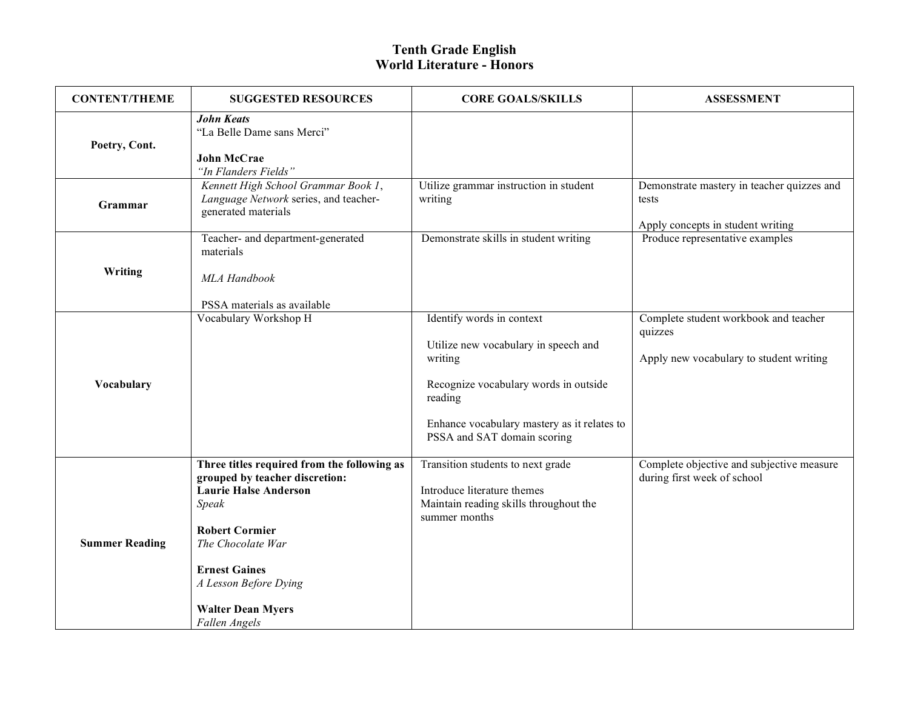| <b>CONTENT/THEME</b>  | <b>SUGGESTED RESOURCES</b>                                                                                                                                                                                                                                         | <b>CORE GOALS/SKILLS</b>                                                                                                                                                                                       | <b>ASSESSMENT</b>                                                                           |
|-----------------------|--------------------------------------------------------------------------------------------------------------------------------------------------------------------------------------------------------------------------------------------------------------------|----------------------------------------------------------------------------------------------------------------------------------------------------------------------------------------------------------------|---------------------------------------------------------------------------------------------|
| Poetry, Cont.         | <b>John Keats</b><br>"La Belle Dame sans Merci"<br><b>John McCrae</b><br>"In Flanders Fields"                                                                                                                                                                      |                                                                                                                                                                                                                |                                                                                             |
| Grammar               | Kennett High School Grammar Book 1,<br>Language Network series, and teacher-<br>generated materials                                                                                                                                                                | Utilize grammar instruction in student<br>writing                                                                                                                                                              | Demonstrate mastery in teacher quizzes and<br>tests<br>Apply concepts in student writing    |
| Writing               | Teacher- and department-generated<br>materials<br>MLA Handbook<br>PSSA materials as available                                                                                                                                                                      | Demonstrate skills in student writing                                                                                                                                                                          | Produce representative examples                                                             |
| Vocabulary            | Vocabulary Workshop H                                                                                                                                                                                                                                              | Identify words in context<br>Utilize new vocabulary in speech and<br>writing<br>Recognize vocabulary words in outside<br>reading<br>Enhance vocabulary mastery as it relates to<br>PSSA and SAT domain scoring | Complete student workbook and teacher<br>quizzes<br>Apply new vocabulary to student writing |
| <b>Summer Reading</b> | Three titles required from the following as<br>grouped by teacher discretion:<br><b>Laurie Halse Anderson</b><br>Speak<br><b>Robert Cormier</b><br>The Chocolate War<br><b>Ernest Gaines</b><br>A Lesson Before Dying<br><b>Walter Dean Myers</b><br>Fallen Angels | Transition students to next grade<br>Introduce literature themes<br>Maintain reading skills throughout the<br>summer months                                                                                    | Complete objective and subjective measure<br>during first week of school                    |